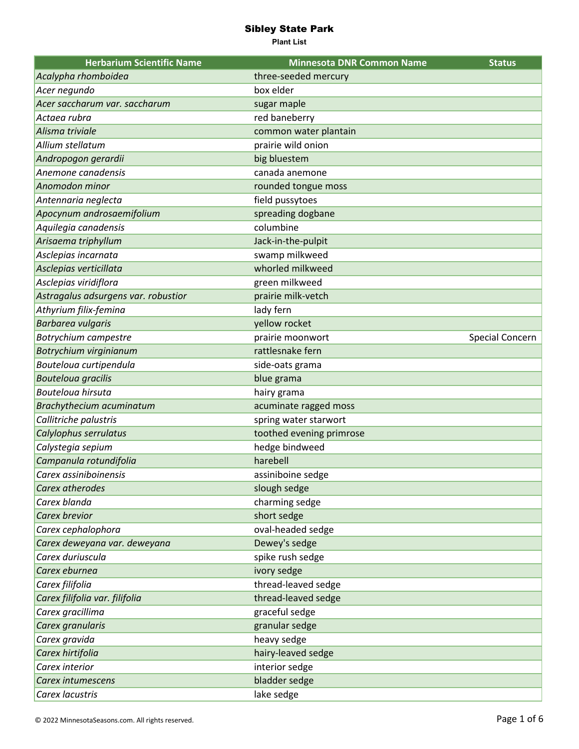| <b>Herbarium Scientific Name</b>    | <b>Minnesota DNR Common Name</b> | <b>Status</b>   |
|-------------------------------------|----------------------------------|-----------------|
| Acalypha rhomboidea                 | three-seeded mercury             |                 |
| Acer negundo                        | box elder                        |                 |
| Acer saccharum var. saccharum       | sugar maple                      |                 |
| Actaea rubra                        | red baneberry                    |                 |
| Alisma triviale                     | common water plantain            |                 |
| Allium stellatum                    | prairie wild onion               |                 |
| Andropogon gerardii                 | big bluestem                     |                 |
| Anemone canadensis                  | canada anemone                   |                 |
| Anomodon minor                      | rounded tongue moss              |                 |
| Antennaria neglecta                 | field pussytoes                  |                 |
| Apocynum androsaemifolium           | spreading dogbane                |                 |
| Aquilegia canadensis                | columbine                        |                 |
| Arisaema triphyllum                 | Jack-in-the-pulpit               |                 |
| Asclepias incarnata                 | swamp milkweed                   |                 |
| Asclepias verticillata              | whorled milkweed                 |                 |
| Asclepias viridiflora               | green milkweed                   |                 |
| Astragalus adsurgens var. robustior | prairie milk-vetch               |                 |
| Athyrium filix-femina               | lady fern                        |                 |
| Barbarea vulgaris                   | yellow rocket                    |                 |
| Botrychium campestre                | prairie moonwort                 | Special Concern |
| Botrychium virginianum              | rattlesnake fern                 |                 |
| Bouteloua curtipendula              | side-oats grama                  |                 |
| <b>Bouteloua gracilis</b>           | blue grama                       |                 |
| Bouteloua hirsuta                   | hairy grama                      |                 |
| Brachythecium acuminatum            | acuminate ragged moss            |                 |
| Callitriche palustris               | spring water starwort            |                 |
| Calylophus serrulatus               | toothed evening primrose         |                 |
| Calystegia sepium                   | hedge bindweed                   |                 |
| Campanula rotundifolia              | harebell                         |                 |
| Carex assiniboinensis               | assiniboine sedge                |                 |
| Carex atherodes                     | slough sedge                     |                 |
| Carex blanda                        | charming sedge                   |                 |
| Carex brevior                       | short sedge                      |                 |
| Carex cephalophora                  | oval-headed sedge                |                 |
| Carex deweyana var. deweyana        | Dewey's sedge                    |                 |
| Carex duriuscula                    | spike rush sedge                 |                 |
| Carex eburnea                       | ivory sedge                      |                 |
| Carex filifolia                     | thread-leaved sedge              |                 |
| Carex filifolia var. filifolia      | thread-leaved sedge              |                 |
| Carex gracillima                    | graceful sedge                   |                 |
| Carex granularis                    | granular sedge                   |                 |
| Carex gravida                       | heavy sedge                      |                 |
| Carex hirtifolia                    | hairy-leaved sedge               |                 |
| Carex interior                      | interior sedge                   |                 |
| Carex intumescens                   | bladder sedge                    |                 |
| Carex lacustris                     | lake sedge                       |                 |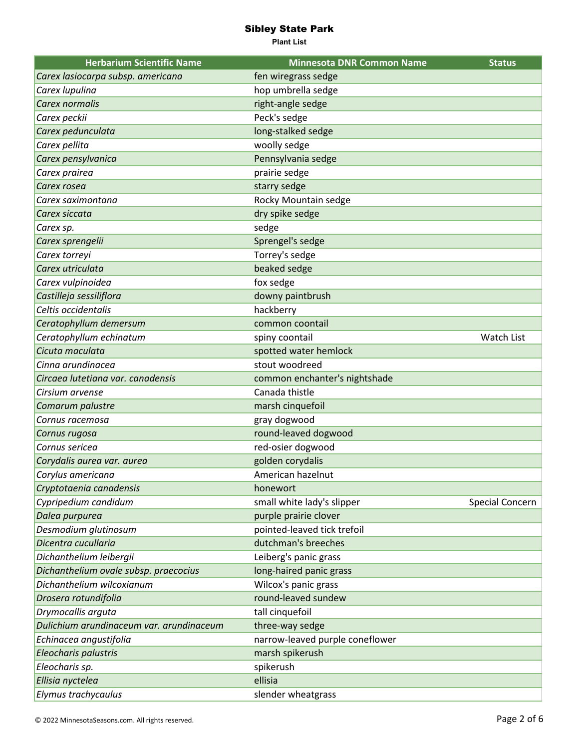| <b>Herbarium Scientific Name</b>         | <b>Minnesota DNR Common Name</b> | <b>Status</b>          |
|------------------------------------------|----------------------------------|------------------------|
| Carex lasiocarpa subsp. americana        | fen wiregrass sedge              |                        |
| Carex lupulina                           | hop umbrella sedge               |                        |
| Carex normalis                           | right-angle sedge                |                        |
| Carex peckii                             | Peck's sedge                     |                        |
| Carex pedunculata                        | long-stalked sedge               |                        |
| Carex pellita                            | woolly sedge                     |                        |
| Carex pensylvanica                       | Pennsylvania sedge               |                        |
| Carex prairea                            | prairie sedge                    |                        |
| Carex rosea                              | starry sedge                     |                        |
| Carex saximontana                        | Rocky Mountain sedge             |                        |
| Carex siccata                            | dry spike sedge                  |                        |
| Carex sp.                                | sedge                            |                        |
| Carex sprengelii                         | Sprengel's sedge                 |                        |
| Carex torreyi                            | Torrey's sedge                   |                        |
| Carex utriculata                         | beaked sedge                     |                        |
| Carex vulpinoidea                        | fox sedge                        |                        |
| Castilleja sessiliflora                  | downy paintbrush                 |                        |
| Celtis occidentalis                      | hackberry                        |                        |
| Ceratophyllum demersum                   | common coontail                  |                        |
| Ceratophyllum echinatum                  | spiny coontail                   | Watch List             |
| Cicuta maculata                          | spotted water hemlock            |                        |
| Cinna arundinacea                        | stout woodreed                   |                        |
| Circaea lutetiana var. canadensis        | common enchanter's nightshade    |                        |
| Cirsium arvense                          | Canada thistle                   |                        |
| Comarum palustre                         | marsh cinquefoil                 |                        |
| Cornus racemosa                          | gray dogwood                     |                        |
| Cornus rugosa                            | round-leaved dogwood             |                        |
| Cornus sericea                           | red-osier dogwood                |                        |
| Corydalis aurea var. aurea               | golden corydalis                 |                        |
| Corylus americana                        | American hazelnut                |                        |
| Cryptotaenia canadensis                  | honewort                         |                        |
| Cypripedium candidum                     | small white lady's slipper       | <b>Special Concern</b> |
| Dalea purpurea                           | purple prairie clover            |                        |
| Desmodium glutinosum                     | pointed-leaved tick trefoil      |                        |
| Dicentra cucullaria                      | dutchman's breeches              |                        |
| Dichanthelium leibergii                  | Leiberg's panic grass            |                        |
| Dichanthelium ovale subsp. praecocius    | long-haired panic grass          |                        |
| Dichanthelium wilcoxianum                | Wilcox's panic grass             |                        |
| Drosera rotundifolia                     | round-leaved sundew              |                        |
| Drymocallis arguta                       | tall cinquefoil                  |                        |
| Dulichium arundinaceum var. arundinaceum | three-way sedge                  |                        |
| Echinacea angustifolia                   | narrow-leaved purple coneflower  |                        |
| Eleocharis palustris                     | marsh spikerush                  |                        |
| Eleocharis sp.                           | spikerush                        |                        |
| Ellisia nyctelea                         | ellisia                          |                        |
| Elymus trachycaulus                      | slender wheatgrass               |                        |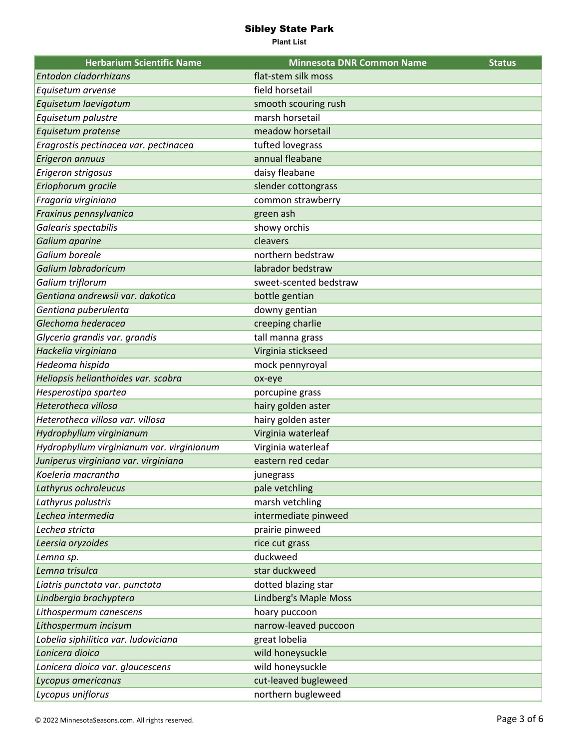| <b>Herbarium Scientific Name</b>          | <b>Minnesota DNR Common Name</b> | <b>Status</b> |
|-------------------------------------------|----------------------------------|---------------|
| Entodon cladorrhizans                     | flat-stem silk moss              |               |
| Equisetum arvense                         | field horsetail                  |               |
| Equisetum laevigatum                      | smooth scouring rush             |               |
| Equisetum palustre                        | marsh horsetail                  |               |
| Equisetum pratense                        | meadow horsetail                 |               |
| Eragrostis pectinacea var. pectinacea     | tufted lovegrass                 |               |
| Erigeron annuus                           | annual fleabane                  |               |
| Erigeron strigosus                        | daisy fleabane                   |               |
| Eriophorum gracile                        | slender cottongrass              |               |
| Fragaria virginiana                       | common strawberry                |               |
| Fraxinus pennsylvanica                    | green ash                        |               |
| Galearis spectabilis                      | showy orchis                     |               |
| Galium aparine                            | cleavers                         |               |
| Galium boreale                            | northern bedstraw                |               |
| Galium labradoricum                       | labrador bedstraw                |               |
| Galium triflorum                          | sweet-scented bedstraw           |               |
| Gentiana andrewsii var. dakotica          | bottle gentian                   |               |
| Gentiana puberulenta                      | downy gentian                    |               |
| Glechoma hederacea                        | creeping charlie                 |               |
| Glyceria grandis var. grandis             | tall manna grass                 |               |
| Hackelia virginiana                       | Virginia stickseed               |               |
| Hedeoma hispida                           | mock pennyroyal                  |               |
| Heliopsis helianthoides var. scabra       | ox-eye                           |               |
| Hesperostipa spartea                      | porcupine grass                  |               |
| Heterotheca villosa                       | hairy golden aster               |               |
| Heterotheca villosa var. villosa          | hairy golden aster               |               |
| Hydrophyllum virginianum                  | Virginia waterleaf               |               |
| Hydrophyllum virginianum var. virginianum | Virginia waterleaf               |               |
| Juniperus virginiana var. virginiana      | eastern red cedar                |               |
| Koeleria macrantha                        | junegrass                        |               |
| Lathyrus ochroleucus                      | pale vetchling                   |               |
| Lathyrus palustris                        | marsh vetchling                  |               |
| Lechea intermedia                         | intermediate pinweed             |               |
| Lechea stricta                            | prairie pinweed                  |               |
| Leersia oryzoides                         | rice cut grass                   |               |
| Lemna sp.                                 | duckweed                         |               |
| Lemna trisulca                            | star duckweed                    |               |
| Liatris punctata var. punctata            | dotted blazing star              |               |
| Lindbergia brachyptera                    | Lindberg's Maple Moss            |               |
| Lithospermum canescens                    | hoary puccoon                    |               |
| Lithospermum incisum                      | narrow-leaved puccoon            |               |
| Lobelia siphilitica var. ludoviciana      | great lobelia                    |               |
| Lonicera dioica                           | wild honeysuckle                 |               |
| Lonicera dioica var. glaucescens          | wild honeysuckle                 |               |
| Lycopus americanus                        | cut-leaved bugleweed             |               |
| Lycopus uniflorus                         | northern bugleweed               |               |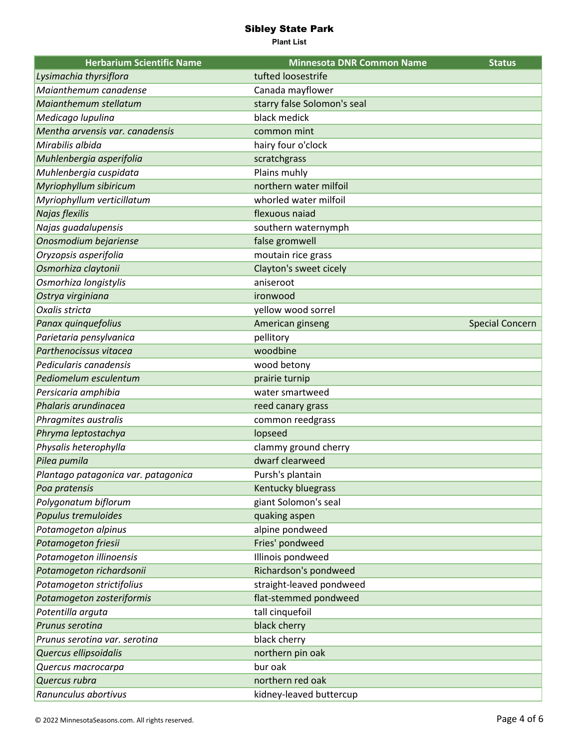| <b>Herbarium Scientific Name</b>    | <b>Minnesota DNR Common Name</b> | <b>Status</b>          |
|-------------------------------------|----------------------------------|------------------------|
| Lysimachia thyrsiflora              | tufted loosestrife               |                        |
| Maianthemum canadense               | Canada mayflower                 |                        |
| Maianthemum stellatum               | starry false Solomon's seal      |                        |
| Medicago lupulina                   | black medick                     |                        |
| Mentha arvensis var. canadensis     | common mint                      |                        |
| Mirabilis albida                    | hairy four o'clock               |                        |
| Muhlenbergia asperifolia            | scratchgrass                     |                        |
| Muhlenbergia cuspidata              | Plains muhly                     |                        |
| Myriophyllum sibiricum              | northern water milfoil           |                        |
| Myriophyllum verticillatum          | whorled water milfoil            |                        |
| Najas flexilis                      | flexuous naiad                   |                        |
| Najas guadalupensis                 | southern waternymph              |                        |
| Onosmodium bejariense               | false gromwell                   |                        |
| Oryzopsis asperifolia               | moutain rice grass               |                        |
| Osmorhiza claytonii                 | Clayton's sweet cicely           |                        |
| Osmorhiza longistylis               | aniseroot                        |                        |
| Ostrya virginiana                   | ironwood                         |                        |
| Oxalis stricta                      | yellow wood sorrel               |                        |
| Panax quinquefolius                 | American ginseng                 | <b>Special Concern</b> |
| Parietaria pensylvanica             | pellitory                        |                        |
| Parthenocissus vitacea              | woodbine                         |                        |
| Pedicularis canadensis              | wood betony                      |                        |
| Pediomelum esculentum               | prairie turnip                   |                        |
| Persicaria amphibia                 | water smartweed                  |                        |
| Phalaris arundinacea                | reed canary grass                |                        |
| Phragmites australis                | common reedgrass                 |                        |
| Phryma leptostachya                 | lopseed                          |                        |
| Physalis heterophylla               | clammy ground cherry             |                        |
| Pilea pumila                        | dwarf clearweed                  |                        |
| Plantago patagonica var. patagonica | Pursh's plantain                 |                        |
| Poa pratensis                       | Kentucky bluegrass               |                        |
| Polygonatum biflorum                | giant Solomon's seal             |                        |
| Populus tremuloides                 | quaking aspen                    |                        |
| Potamogeton alpinus                 | alpine pondweed                  |                        |
| Potamogeton friesii                 | Fries' pondweed                  |                        |
| Potamogeton illinoensis             | Illinois pondweed                |                        |
| Potamogeton richardsonii            | Richardson's pondweed            |                        |
| Potamogeton strictifolius           | straight-leaved pondweed         |                        |
| Potamogeton zosteriformis           | flat-stemmed pondweed            |                        |
| Potentilla arguta                   | tall cinquefoil                  |                        |
| Prunus serotina                     | black cherry                     |                        |
| Prunus serotina var. serotina       | black cherry                     |                        |
| Quercus ellipsoidalis               | northern pin oak                 |                        |
| Quercus macrocarpa                  | bur oak                          |                        |
| Quercus rubra                       | northern red oak                 |                        |
| Ranunculus abortivus                | kidney-leaved buttercup          |                        |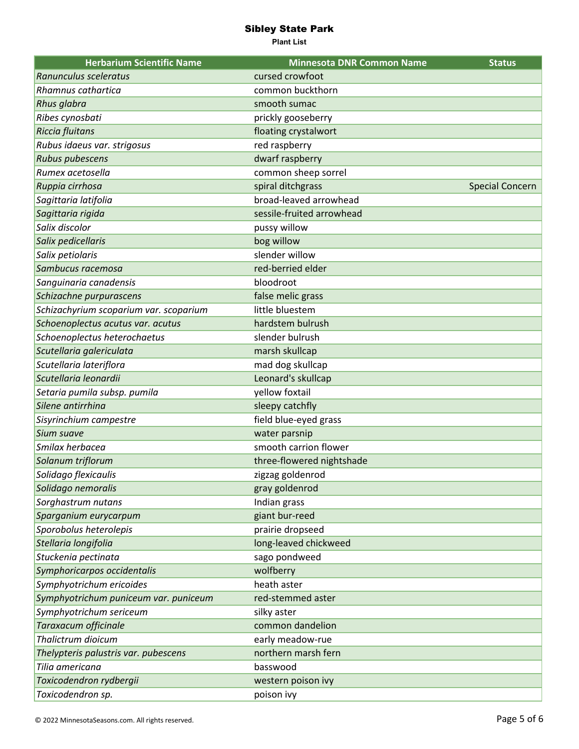| <b>Herbarium Scientific Name</b>       | <b>Minnesota DNR Common Name</b> | <b>Status</b>          |
|----------------------------------------|----------------------------------|------------------------|
| Ranunculus sceleratus                  | cursed crowfoot                  |                        |
| Rhamnus cathartica                     | common buckthorn                 |                        |
| Rhus glabra                            | smooth sumac                     |                        |
| Ribes cynosbati                        | prickly gooseberry               |                        |
| Riccia fluitans                        | floating crystalwort             |                        |
| Rubus idaeus var. strigosus            | red raspberry                    |                        |
| Rubus pubescens                        | dwarf raspberry                  |                        |
| Rumex acetosella                       | common sheep sorrel              |                        |
| Ruppia cirrhosa                        | spiral ditchgrass                | <b>Special Concern</b> |
| Sagittaria latifolia                   | broad-leaved arrowhead           |                        |
| Sagittaria rigida                      | sessile-fruited arrowhead        |                        |
| Salix discolor                         | pussy willow                     |                        |
| Salix pedicellaris                     | bog willow                       |                        |
| Salix petiolaris                       | slender willow                   |                        |
| Sambucus racemosa                      | red-berried elder                |                        |
| Sanguinaria canadensis                 | bloodroot                        |                        |
| Schizachne purpurascens                | false melic grass                |                        |
| Schizachyrium scoparium var. scoparium | little bluestem                  |                        |
| Schoenoplectus acutus var. acutus      | hardstem bulrush                 |                        |
| Schoenoplectus heterochaetus           | slender bulrush                  |                        |
| Scutellaria galericulata               | marsh skullcap                   |                        |
| Scutellaria lateriflora                | mad dog skullcap                 |                        |
| Scutellaria leonardii                  | Leonard's skullcap               |                        |
| Setaria pumila subsp. pumila           | yellow foxtail                   |                        |
| Silene antirrhina                      | sleepy catchfly                  |                        |
| Sisyrinchium campestre                 | field blue-eyed grass            |                        |
| Sium suave                             | water parsnip                    |                        |
| Smilax herbacea                        | smooth carrion flower            |                        |
| Solanum triflorum                      | three-flowered nightshade        |                        |
| Solidago flexicaulis                   | zigzag goldenrod                 |                        |
| Solidago nemoralis                     | gray goldenrod                   |                        |
| Sorghastrum nutans                     | Indian grass                     |                        |
| Sparganium eurycarpum                  | giant bur-reed                   |                        |
| Sporobolus heterolepis                 | prairie dropseed                 |                        |
| Stellaria longifolia                   | long-leaved chickweed            |                        |
| Stuckenia pectinata                    | sago pondweed                    |                        |
| Symphoricarpos occidentalis            | wolfberry                        |                        |
| Symphyotrichum ericoides               | heath aster                      |                        |
| Symphyotrichum puniceum var. puniceum  | red-stemmed aster                |                        |
| Symphyotrichum sericeum                | silky aster                      |                        |
| Taraxacum officinale                   | common dandelion                 |                        |
| Thalictrum dioicum                     | early meadow-rue                 |                        |
| Thelypteris palustris var. pubescens   | northern marsh fern              |                        |
| Tilia americana                        | basswood                         |                        |
| Toxicodendron rydbergii                | western poison ivy               |                        |
| Toxicodendron sp.                      | poison ivy                       |                        |